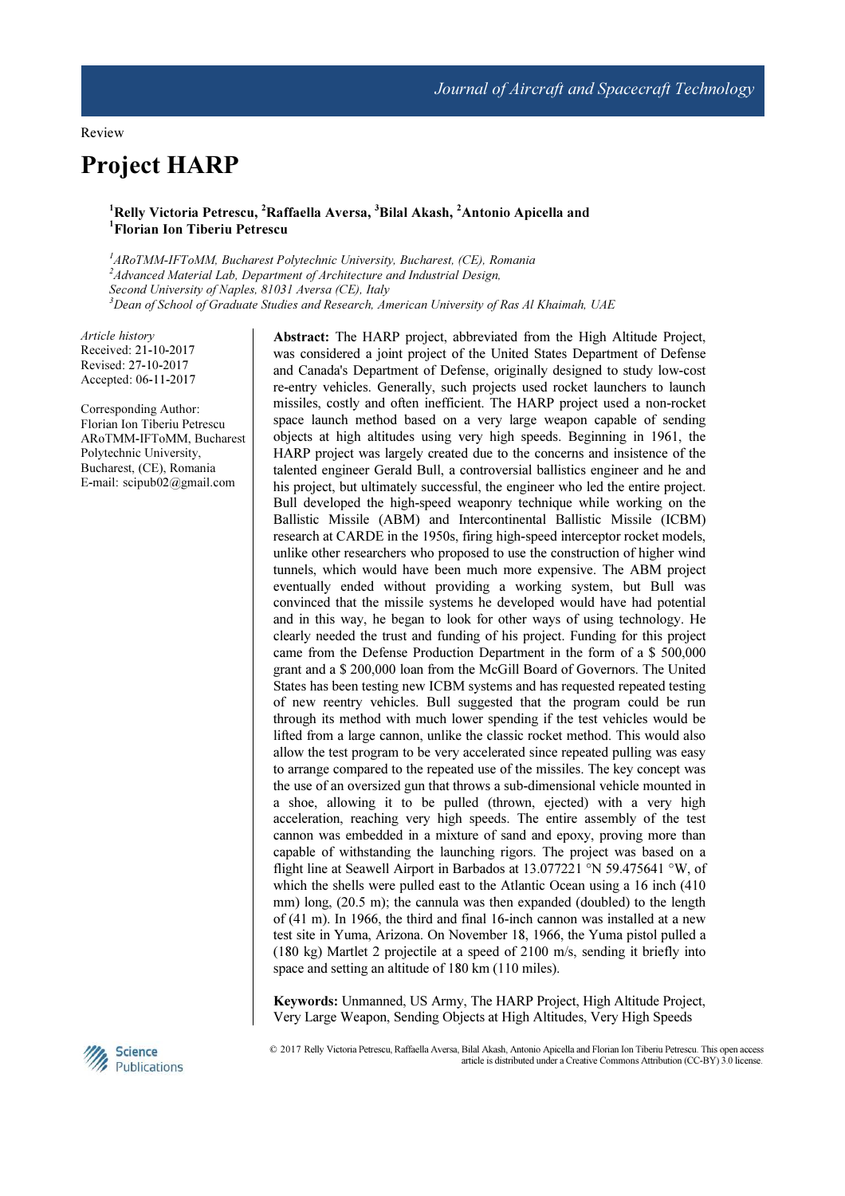# Project HARP

## <sup>1</sup>Relly Victoria Petrescu, <sup>2</sup>Raffaella Aversa, <sup>3</sup>Bilal Akash, <sup>2</sup>Antonio Apicella and <sup>1</sup>Florian Ion Tiberiu Petrescu

<sup>1</sup>ARoTMM-IFToMM, Bucharest Polytechnic University, Bucharest, (CE), Romania <sup>2</sup>Advanced Material Lab, Department of Architecture and Industrial Design, Second University of Naples, 81031 Aversa (CE), Italy  $3$ Dean of School of Graduate Studies and Research, American University of Ras Al Khaimah, UAE

Article history Received: 21-10-2017 Revised: 27-10-2017 Accepted: 06-11-2017

Corresponding Author: Florian Ion Tiberiu Petrescu ARoTMM-IFToMM, Bucharest Polytechnic University, Bucharest, (CE), Romania E-mail: scipub02@gmail.com

Abstract: The HARP project, abbreviated from the High Altitude Project, was considered a joint project of the United States Department of Defense and Canada's Department of Defense, originally designed to study low-cost re-entry vehicles. Generally, such projects used rocket launchers to launch missiles, costly and often inefficient. The HARP project used a non-rocket space launch method based on a very large weapon capable of sending objects at high altitudes using very high speeds. Beginning in 1961, the HARP project was largely created due to the concerns and insistence of the talented engineer Gerald Bull, a controversial ballistics engineer and he and his project, but ultimately successful, the engineer who led the entire project. Bull developed the high-speed weaponry technique while working on the Ballistic Missile (ABM) and Intercontinental Ballistic Missile (ICBM) research at CARDE in the 1950s, firing high-speed interceptor rocket models, unlike other researchers who proposed to use the construction of higher wind tunnels, which would have been much more expensive. The ABM project eventually ended without providing a working system, but Bull was convinced that the missile systems he developed would have had potential and in this way, he began to look for other ways of using technology. He clearly needed the trust and funding of his project. Funding for this project came from the Defense Production Department in the form of a \$ 500,000 grant and a \$ 200,000 loan from the McGill Board of Governors. The United States has been testing new ICBM systems and has requested repeated testing of new reentry vehicles. Bull suggested that the program could be run through its method with much lower spending if the test vehicles would be lifted from a large cannon, unlike the classic rocket method. This would also allow the test program to be very accelerated since repeated pulling was easy to arrange compared to the repeated use of the missiles. The key concept was the use of an oversized gun that throws a sub-dimensional vehicle mounted in a shoe, allowing it to be pulled (thrown, ejected) with a very high acceleration, reaching very high speeds. The entire assembly of the test cannon was embedded in a mixture of sand and epoxy, proving more than capable of withstanding the launching rigors. The project was based on a flight line at Seawell Airport in Barbados at 13.077221 °N 59.475641 °W, of which the shells were pulled east to the Atlantic Ocean using a 16 inch (410 mm) long, (20.5 m); the cannula was then expanded (doubled) to the length of (41 m). In 1966, the third and final 16-inch cannon was installed at a new test site in Yuma, Arizona. On November 18, 1966, the Yuma pistol pulled a (180 kg) Martlet 2 projectile at a speed of 2100 m/s, sending it briefly into space and setting an altitude of 180 km (110 miles).

Keywords: Unmanned, US Army, The HARP Project, High Altitude Project, Very Large Weapon, Sending Objects at High Altitudes, Very High Speeds



 © 2017 Relly Victoria Petrescu, Raffaella Aversa, Bilal Akash, Antonio Apicella and Florian Ion Tiberiu Petrescu. This open access article is distributed under a Creative Commons Attribution (CC-BY) 3.0 license.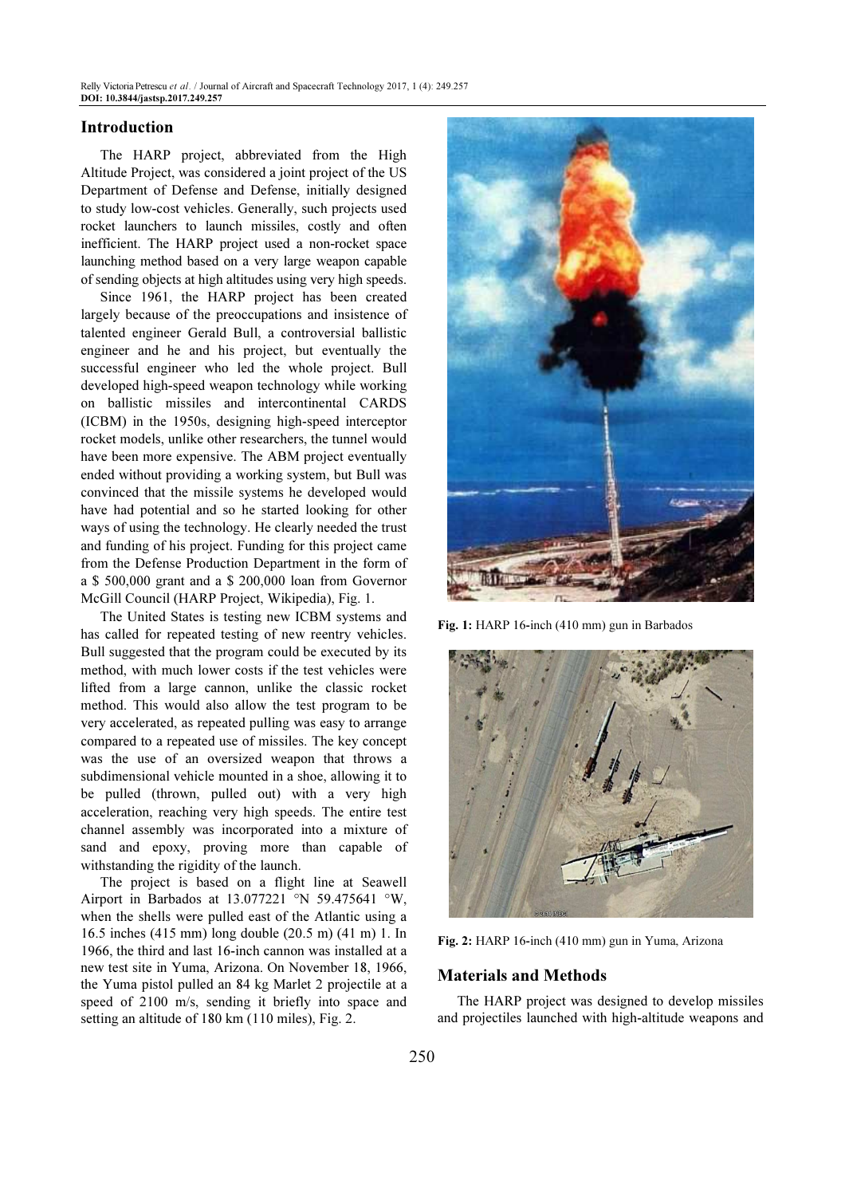## Introduction

The HARP project, abbreviated from the High Altitude Project, was considered a joint project of the US Department of Defense and Defense, initially designed to study low-cost vehicles. Generally, such projects used rocket launchers to launch missiles, costly and often inefficient. The HARP project used a non-rocket space launching method based on a very large weapon capable of sending objects at high altitudes using very high speeds.

Since 1961, the HARP project has been created largely because of the preoccupations and insistence of talented engineer Gerald Bull, a controversial ballistic engineer and he and his project, but eventually the successful engineer who led the whole project. Bull developed high-speed weapon technology while working on ballistic missiles and intercontinental CARDS (ICBM) in the 1950s, designing high-speed interceptor rocket models, unlike other researchers, the tunnel would have been more expensive. The ABM project eventually ended without providing a working system, but Bull was convinced that the missile systems he developed would have had potential and so he started looking for other ways of using the technology. He clearly needed the trust and funding of his project. Funding for this project came from the Defense Production Department in the form of a \$ 500,000 grant and a \$ 200,000 loan from Governor McGill Council (HARP Project, Wikipedia), Fig. 1.

The United States is testing new ICBM systems and has called for repeated testing of new reentry vehicles. Bull suggested that the program could be executed by its method, with much lower costs if the test vehicles were lifted from a large cannon, unlike the classic rocket method. This would also allow the test program to be very accelerated, as repeated pulling was easy to arrange compared to a repeated use of missiles. The key concept was the use of an oversized weapon that throws a subdimensional vehicle mounted in a shoe, allowing it to be pulled (thrown, pulled out) with a very high acceleration, reaching very high speeds. The entire test channel assembly was incorporated into a mixture of sand and epoxy, proving more than capable of withstanding the rigidity of the launch.

The project is based on a flight line at Seawell Airport in Barbados at 13.077221 °N 59.475641 °W, when the shells were pulled east of the Atlantic using a 16.5 inches (415 mm) long double (20.5 m) (41 m) 1. In 1966, the third and last 16-inch cannon was installed at a new test site in Yuma, Arizona. On November 18, 1966, the Yuma pistol pulled an 84 kg Marlet 2 projectile at a speed of 2100 m/s, sending it briefly into space and setting an altitude of 180 km (110 miles), Fig. 2.



Fig. 1: HARP 16-inch (410 mm) gun in Barbados



Fig. 2: HARP 16-inch (410 mm) gun in Yuma, Arizona

## Materials and Methods

The HARP project was designed to develop missiles and projectiles launched with high-altitude weapons and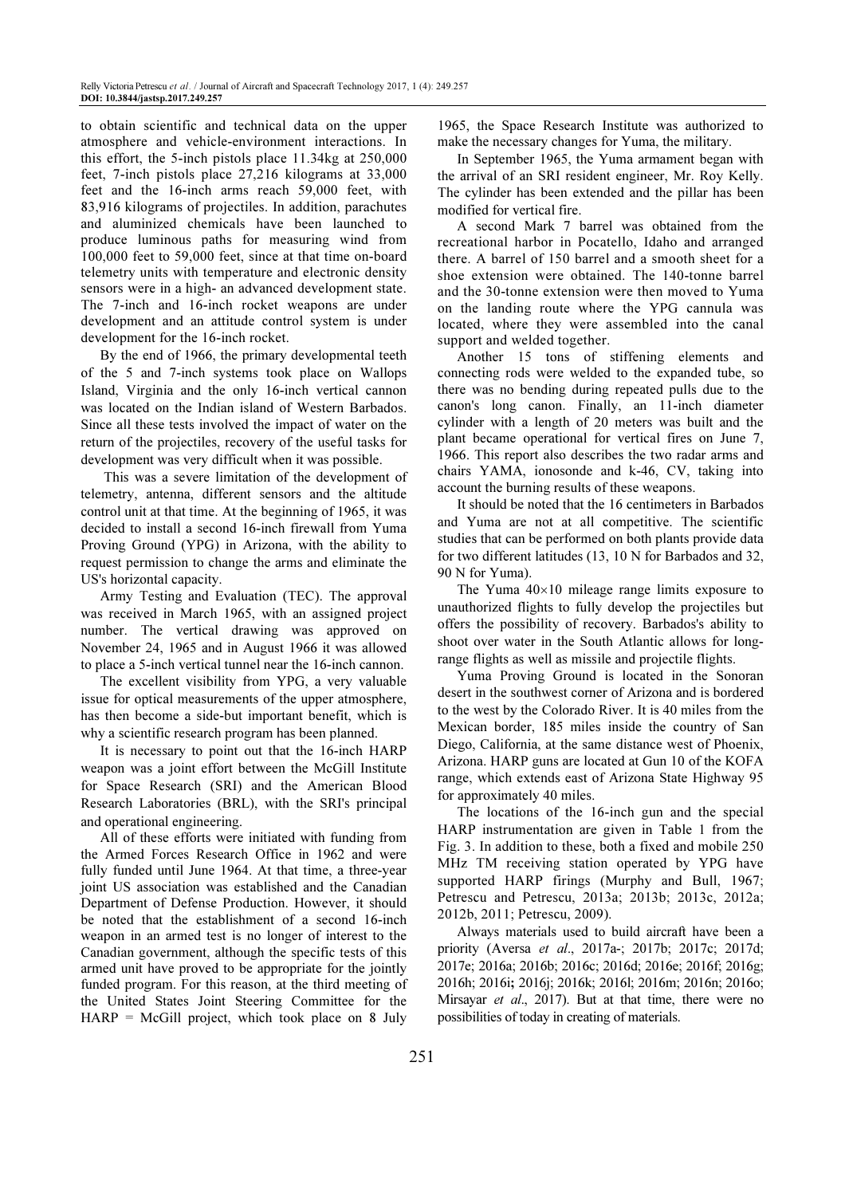to obtain scientific and technical data on the upper atmosphere and vehicle-environment interactions. In this effort, the 5-inch pistols place 11.34kg at 250,000 feet, 7-inch pistols place 27,216 kilograms at 33,000 feet and the 16-inch arms reach 59,000 feet, with 83,916 kilograms of projectiles. In addition, parachutes and aluminized chemicals have been launched to produce luminous paths for measuring wind from 100,000 feet to 59,000 feet, since at that time on-board telemetry units with temperature and electronic density sensors were in a high- an advanced development state. The 7-inch and 16-inch rocket weapons are under development and an attitude control system is under development for the 16-inch rocket.

By the end of 1966, the primary developmental teeth of the 5 and 7-inch systems took place on Wallops Island, Virginia and the only 16-inch vertical cannon was located on the Indian island of Western Barbados. Since all these tests involved the impact of water on the return of the projectiles, recovery of the useful tasks for development was very difficult when it was possible.

 This was a severe limitation of the development of telemetry, antenna, different sensors and the altitude control unit at that time. At the beginning of 1965, it was decided to install a second 16-inch firewall from Yuma Proving Ground (YPG) in Arizona, with the ability to request permission to change the arms and eliminate the US's horizontal capacity.

Army Testing and Evaluation (TEC). The approval was received in March 1965, with an assigned project number. The vertical drawing was approved on November 24, 1965 and in August 1966 it was allowed to place a 5-inch vertical tunnel near the 16-inch cannon.

The excellent visibility from YPG, a very valuable issue for optical measurements of the upper atmosphere, has then become a side-but important benefit, which is why a scientific research program has been planned.

It is necessary to point out that the 16-inch HARP weapon was a joint effort between the McGill Institute for Space Research (SRI) and the American Blood Research Laboratories (BRL), with the SRI's principal and operational engineering.

All of these efforts were initiated with funding from the Armed Forces Research Office in 1962 and were fully funded until June 1964. At that time, a three-year joint US association was established and the Canadian Department of Defense Production. However, it should be noted that the establishment of a second 16-inch weapon in an armed test is no longer of interest to the Canadian government, although the specific tests of this armed unit have proved to be appropriate for the jointly funded program. For this reason, at the third meeting of the United States Joint Steering Committee for the  $HARP = McGill project, which took place on 8 July$ 

1965, the Space Research Institute was authorized to make the necessary changes for Yuma, the military.

In September 1965, the Yuma armament began with the arrival of an SRI resident engineer, Mr. Roy Kelly. The cylinder has been extended and the pillar has been modified for vertical fire.

A second Mark 7 barrel was obtained from the recreational harbor in Pocatello, Idaho and arranged there. A barrel of 150 barrel and a smooth sheet for a shoe extension were obtained. The 140-tonne barrel and the 30-tonne extension were then moved to Yuma on the landing route where the YPG cannula was located, where they were assembled into the canal support and welded together.

Another 15 tons of stiffening elements and connecting rods were welded to the expanded tube, so there was no bending during repeated pulls due to the canon's long canon. Finally, an 11-inch diameter cylinder with a length of 20 meters was built and the plant became operational for vertical fires on June 7, 1966. This report also describes the two radar arms and chairs YAMA, ionosonde and k-46, CV, taking into account the burning results of these weapons.

It should be noted that the 16 centimeters in Barbados and Yuma are not at all competitive. The scientific studies that can be performed on both plants provide data for two different latitudes (13, 10 N for Barbados and 32, 90 N for Yuma).

The Yuma  $40\times10$  mileage range limits exposure to unauthorized flights to fully develop the projectiles but offers the possibility of recovery. Barbados's ability to shoot over water in the South Atlantic allows for longrange flights as well as missile and projectile flights.

Yuma Proving Ground is located in the Sonoran desert in the southwest corner of Arizona and is bordered to the west by the Colorado River. It is 40 miles from the Mexican border, 185 miles inside the country of San Diego, California, at the same distance west of Phoenix, Arizona. HARP guns are located at Gun 10 of the KOFA range, which extends east of Arizona State Highway 95 for approximately 40 miles.

The locations of the 16-inch gun and the special HARP instrumentation are given in Table 1 from the Fig. 3. In addition to these, both a fixed and mobile 250 MHz TM receiving station operated by YPG have supported HARP firings (Murphy and Bull, 1967; Petrescu and Petrescu, 2013a; 2013b; 2013c, 2012a; 2012b, 2011; Petrescu, 2009).

Always materials used to build aircraft have been a priority (Aversa et al., 2017a-; 2017b; 2017c; 2017d; 2017e; 2016a; 2016b; 2016c; 2016d; 2016e; 2016f; 2016g; 2016h; 2016i; 2016j; 2016k; 2016l; 2016m; 2016n; 2016o; Mirsayar et al., 2017). But at that time, there were no possibilities of today in creating of materials.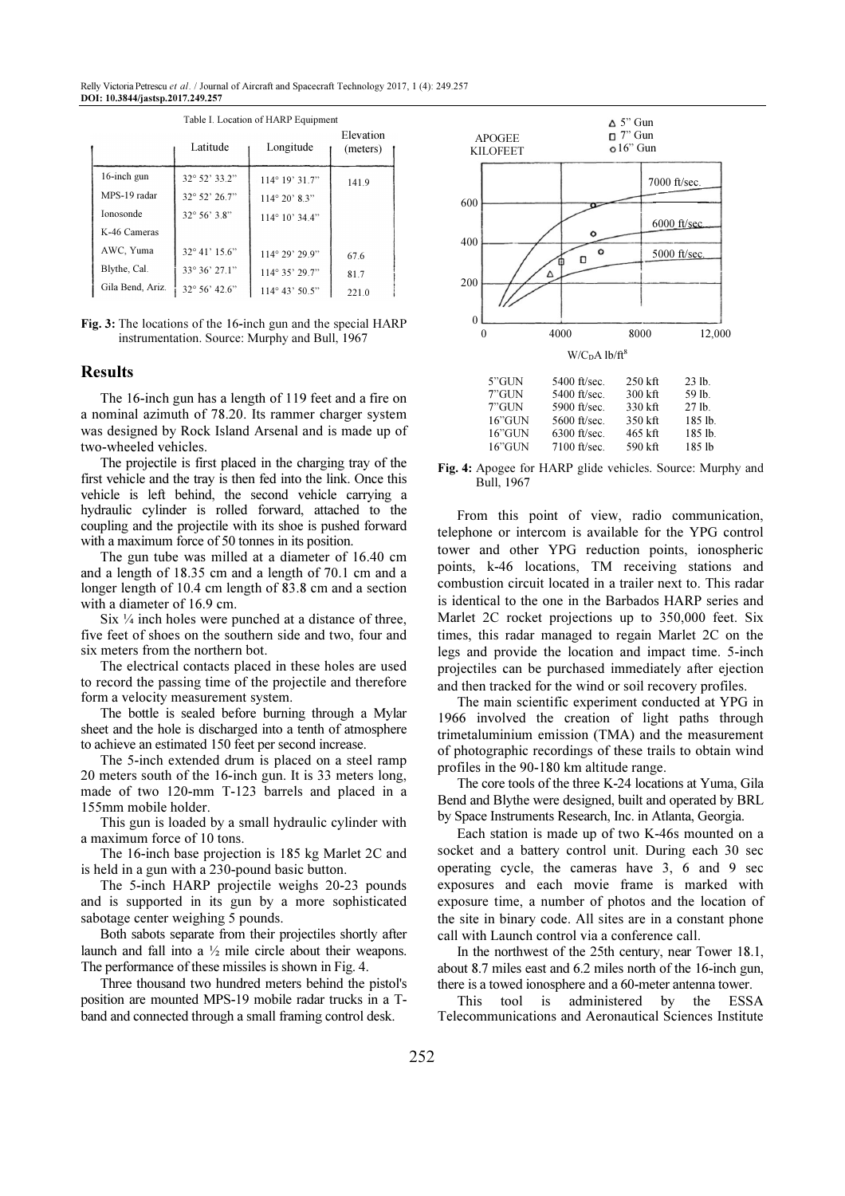Relly Victoria Petrescu et al. / Journal of Aircraft and Spacecraft Technology 2017, 1 (4): 249.257 DOI: 10.3844/jastsp.2017.249.257

|                  | Latitude               | Longitude               | Elevation<br>(meters) |     | <b>APOGEE</b><br><b>KILOFEET</b> | $\Box$ 7" Gun<br>$\circ 16$ " Gun |                |
|------------------|------------------------|-------------------------|-----------------------|-----|----------------------------------|-----------------------------------|----------------|
| $16$ -inch gun   | $32^{\circ} 52' 33.2"$ | $114^{\circ} 19' 31.7"$ | 141.9                 |     |                                  |                                   | 7000 ft/sec.   |
| MPS-19 radar     | 32° 52' 26.7"          | $114^{\circ} 20' 8.3"$  |                       | 600 |                                  |                                   |                |
| Ionosonde        | $32^{\circ} 56' 3.8"$  | $114^{\circ} 10' 34.4"$ |                       |     |                                  |                                   |                |
| K-46 Cameras     |                        |                         |                       |     |                                  |                                   | $6000$ ft/sec. |
| AWC, Yuma        | $32^{\circ}41'15.6"$   | $114^{\circ} 29' 29.9"$ | 67.6                  | 400 |                                  | n                                 | 5000 ft/sec.   |
| Blythe, Cal.     | $33^{\circ}36'27.1"$   | $114^{\circ}35'29.7"$   | 81.7                  |     | Δ                                |                                   |                |
| Gila Bend, Ariz. | 32° 56' 42.6"          | $114^{\circ} 43' 50.5"$ | 221.0                 | 200 |                                  |                                   |                |

Table I. Location of HARP Equipment

Fig. 3: The locations of the 16-inch gun and the special HARP instrumentation. Source: Murphy and Bull, 1967

## Results

The 16-inch gun has a length of 119 feet and a fire on a nominal azimuth of 78.20. Its rammer charger system was designed by Rock Island Arsenal and is made up of two-wheeled vehicles.

The projectile is first placed in the charging tray of the first vehicle and the tray is then fed into the link. Once this vehicle is left behind, the second vehicle carrying a hydraulic cylinder is rolled forward, attached to the coupling and the projectile with its shoe is pushed forward with a maximum force of 50 tonnes in its position.

The gun tube was milled at a diameter of 16.40 cm and a length of 18.35 cm and a length of 70.1 cm and a longer length of 10.4 cm length of 83.8 cm and a section with a diameter of 16.9 cm.

Six  $\frac{1}{4}$  inch holes were punched at a distance of three, five feet of shoes on the southern side and two, four and six meters from the northern bot.

The electrical contacts placed in these holes are used to record the passing time of the projectile and therefore form a velocity measurement system.

The bottle is sealed before burning through a Mylar sheet and the hole is discharged into a tenth of atmosphere to achieve an estimated 150 feet per second increase.

The 5-inch extended drum is placed on a steel ramp 20 meters south of the 16-inch gun. It is 33 meters long, made of two 120-mm T-123 barrels and placed in a 155mm mobile holder.

This gun is loaded by a small hydraulic cylinder with a maximum force of 10 tons.

The 16-inch base projection is 185 kg Marlet 2C and is held in a gun with a 230-pound basic button.

The 5-inch HARP projectile weighs 20-23 pounds and is supported in its gun by a more sophisticated sabotage center weighing 5 pounds.

Both sabots separate from their projectiles shortly after launch and fall into a ½ mile circle about their weapons. The performance of these missiles is shown in Fig. 4.

Three thousand two hundred meters behind the pistol's position are mounted MPS-19 mobile radar trucks in a Tband and connected through a small framing control desk.



16"GUN 5600 ft/sec. 350 kft 185 lb. 16"GUN 6300 ft/sec. 465 kft 185 lb.<br>16"GUN 7100 ft/sec. 590 kft 185 lb 7100 ft/sec.

Fig. 4: Apogee for HARP glide vehicles. Source: Murphy and Bull, 1967

From this point of view, radio communication, telephone or intercom is available for the YPG control tower and other YPG reduction points, ionospheric points, k-46 locations, TM receiving stations and combustion circuit located in a trailer next to. This radar is identical to the one in the Barbados HARP series and Marlet 2C rocket projections up to 350,000 feet. Six times, this radar managed to regain Marlet 2C on the legs and provide the location and impact time. 5-inch projectiles can be purchased immediately after ejection and then tracked for the wind or soil recovery profiles.

The main scientific experiment conducted at YPG in 1966 involved the creation of light paths through trimetaluminium emission (TMA) and the measurement of photographic recordings of these trails to obtain wind profiles in the 90-180 km altitude range.

The core tools of the three K-24 locations at Yuma, Gila Bend and Blythe were designed, built and operated by BRL by Space Instruments Research, Inc. in Atlanta, Georgia.

Each station is made up of two K-46s mounted on a socket and a battery control unit. During each 30 sec operating cycle, the cameras have 3, 6 and 9 sec exposures and each movie frame is marked with exposure time, a number of photos and the location of the site in binary code. All sites are in a constant phone call with Launch control via a conference call.

In the northwest of the 25th century, near Tower 18.1, about 8.7 miles east and 6.2 miles north of the 16-inch gun, there is a towed ionosphere and a 60-meter antenna tower.

This tool is administered by the ESSA Telecommunications and Aeronautical Sciences Institute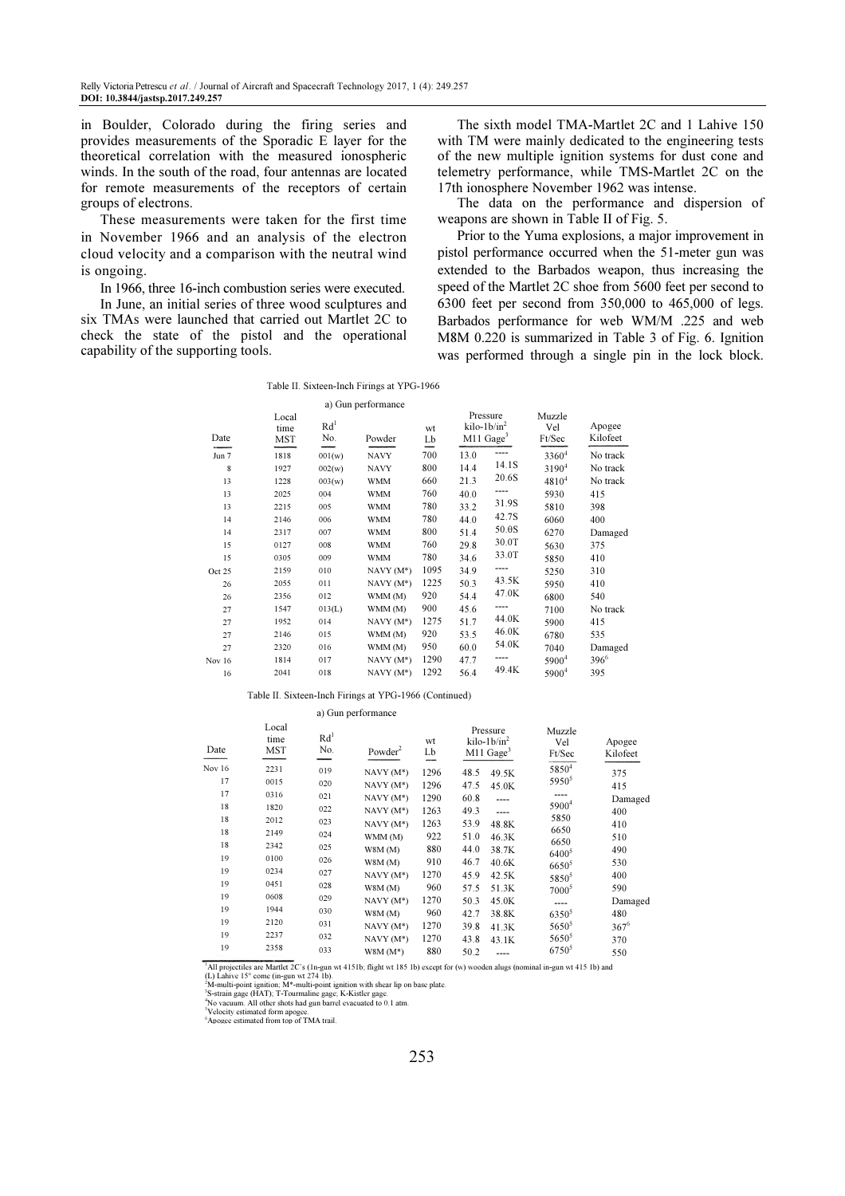in Boulder, Colorado during the firing series and provides measurements of the Sporadic E layer for the theoretical correlation with the measured ionospheric winds. In the south of the road, four antennas are located for remote measurements of the receptors of certain groups of electrons.

These measurements were taken for the first time in November 1966 and an analysis of the electron cloud velocity and a comparison with the neutral wind is ongoing.

In 1966, three 16-inch combustion series were executed.

In June, an initial series of three wood sculptures and six TMAs were launched that carried out Martlet 2C to check the state of the pistol and the operational capability of the supporting tools.

The sixth model TMA-Martlet 2C and 1 Lahive 150 with TM were mainly dedicated to the engineering tests of the new multiple ignition systems for dust cone and telemetry performance, while TMS-Martlet 2C on the 17th ionosphere November 1962 was intense.

The data on the performance and dispersion of weapons are shown in Table II of Fig. 5.

Prior to the Yuma explosions, a major improvement in pistol performance occurred when the 51-meter gun was extended to the Barbados weapon, thus increasing the speed of the Martlet 2C shoe from 5600 feet per second to 6300 feet per second from 350,000 to 465,000 of legs. Barbados performance for web WM/M .225 and web M8M 0.220 is summarized in Table 3 of Fig. 6. Ignition was performed through a single pin in the lock block.

Table II. Sixteen-Inch Firings at YPG-1966

| Local<br>time<br><b>MST</b> | Rd <sup>1</sup><br>No. | Powder      | wt<br>Lb           |      |      | Muzzle<br>Vel<br>Ft/Sec                                                                                                                                                    | Apogee<br>Kilofeet |
|-----------------------------|------------------------|-------------|--------------------|------|------|----------------------------------------------------------------------------------------------------------------------------------------------------------------------------|--------------------|
| 1818                        | 001(w)                 | <b>NAVY</b> | 700                | 13.0 | ---- | 3360 <sup>4</sup>                                                                                                                                                          | No track           |
| 1927                        | 002(w)                 | <b>NAVY</b> | 800                | 14.4 |      | $3190^{4}$                                                                                                                                                                 | No track           |
| 1228                        | 003(w)                 | <b>WMM</b>  | 660                | 21.3 |      | $4810^{4}$                                                                                                                                                                 | No track           |
| 2025                        | 004                    | <b>WMM</b>  | 760                | 40.0 | ---- | 5930                                                                                                                                                                       | 415                |
| 2215                        | 005                    | <b>WMM</b>  | 780                | 33.2 |      | 5810                                                                                                                                                                       | 398                |
| 2146                        | 006                    | <b>WMM</b>  | 780                | 44.0 |      | 6060                                                                                                                                                                       | 400                |
| 2317                        | 007                    | <b>WMM</b>  | 800                | 51.4 |      | 6270                                                                                                                                                                       | Damaged            |
| 0127                        | 008                    | <b>WMM</b>  | 760                | 29.8 |      | 5630                                                                                                                                                                       | 375                |
| 0305                        | 009                    | <b>WMM</b>  | 780                | 34.6 |      | 5850                                                                                                                                                                       | 410                |
| 2159                        | 010                    | $NAVY(M^*)$ | 1095               | 34.9 | ---- | 5250                                                                                                                                                                       | 310                |
| 2055                        | 011                    | $NAVY(M^*)$ | 1225               | 50.3 |      | 5950                                                                                                                                                                       | 410                |
| 2356                        | 012                    | WMM (M)     | 920                | 54.4 |      | 6800                                                                                                                                                                       | 540                |
| 1547                        | 013(L)                 | WMM (M)     | 900                | 45.6 | ---- | 7100                                                                                                                                                                       | No track           |
| 1952                        | 014                    | $NAVY(M^*)$ | 1275               | 51.7 |      | 5900                                                                                                                                                                       | 415                |
| 2146                        | 015                    | WMM (M)     | 920                | 53.5 |      | 6780                                                                                                                                                                       | 535                |
| 2320                        | 016                    | WMM (M)     | 950                | 60.0 |      | 7040                                                                                                                                                                       | Damaged            |
| 1814                        | 017                    | $NAVY(M^*)$ | 1290               | 47.7 |      | 5900 <sup>4</sup>                                                                                                                                                          | $396^6$            |
| 2041                        | 018                    | $NAVY(M^*)$ | 1292               | 56.4 |      | 5900 <sup>4</sup>                                                                                                                                                          | 395                |
|                             |                        |             | a) Gun performance |      |      | Pressure<br>$kilo-1b/in^2$<br>$M11$ Gage <sup>3</sup><br>14.1S<br>20.6S<br>31.9S<br>42.7S<br>50.0S<br>30.0T<br>33.0T<br>43.5K<br>47.0K<br>44.0K<br>46.0K<br>54.0K<br>49.4K |                    |

Table II. Sixteen-Inch Firings at YPG-1966 (Continued)

a) Gun performance

| Date   | Local<br>time<br><b>MST</b> | Rd <sup>1</sup><br>No. | Powder <sup>2</sup> | wt<br>Lb<br>--- | Pressure<br>$kilo-1b/in2$<br>$M11$ Gage <sup>3</sup> |       | Muzzle<br>Vel<br>Ft/Sec | Apogee<br>Kilofeet |
|--------|-----------------------------|------------------------|---------------------|-----------------|------------------------------------------------------|-------|-------------------------|--------------------|
| Nov 16 | 2231                        | 019                    | $NAVY(M^*)$         | 1296            | 48.5                                                 | 49.5K | 58504                   | 375                |
| 17     | 0015                        | 020                    | $NAVY(M^*)$         | 1296            | 47.5                                                 | 45.0K | $5950^5$                | 415                |
| 17     | 0316                        | 021                    | $NAVY(M^*)$         | 1290            | 60.8                                                 |       |                         | Damaged            |
| 18     | 1820                        | 022                    | $NAVY(M^*)$         | 1263            | 49.3                                                 | ----  | $5900^4$                | 400                |
| 18     | 2012                        | 023                    | $NAVY(M^*)$         | 1263            | 53.9                                                 | 48.8K | 5850                    | 410                |
| 18     | 2149                        | 024                    | WMM (M)             | 922             | 51.0                                                 | 46.3K | 6650                    | 510                |
| 18     | 2342                        | 025                    | W8M(M)              | 880             | 44.0                                                 | 38.7K | 6650                    | 490                |
| 19     | 0100                        | 026                    | W8M(M)              | 910             | 46.7                                                 | 40.6K | $6400^5$<br>$6650^5$    | 530                |
| 19     | 0234                        | 027                    | $NAVY(M^*)$         | 1270            | 45.9                                                 | 42.5K | 5850 <sup>5</sup>       | 400                |
| 19     | 0451                        | 028                    | W8M(M)              | 960             | 57.5                                                 | 51.3K | $7000^5$                | 590                |
| 19     | 0608                        | 029                    | $NAVY(M^*)$         | 1270            | 50.3                                                 | 45.0K |                         | Damaged            |
| 19     | 1944                        | 030                    | W8M(M)              | 960             | 42.7                                                 | 38.8K | $6350^5$                | 480                |
| 19     | 2120                        | 031                    | $NAVY(M^*)$         | 1270            | 39.8                                                 | 41.3K | $5650^5$                | $367^6$            |
| 19     | 2237                        | 032                    | $NAVY(M^*)$         | 1270            | 43.8                                                 | 43.1K | $5650^5$                | 370                |
| 19     | 2358                        | 033                    | $W8M(M^*)$          | 880             | 50.2                                                 |       | $6750^{5}$              | 550                |

<sup>1</sup>All projectiles are Martlet 2C's (1n-gun wt 4151b; flight wt 185 1b) except for (w) wooden alugs (nominal in-gun wt 415 1b) and<br>(L) Lahive 15° come (in-gun wt 274 1b).<br>"M-multi-point ignition; M\*-multi-point ignition wi

3 S-strain gage (HAT); T-Tourmaline gage; K-Kistler gage. <sup>4</sup>No vacuum. All other shots had gun barrel evacuated to 0.1 atm.

<sup>5</sup>Velocity estimated form apogee. <sup>6</sup>Apogee estimated from top of TMA trail.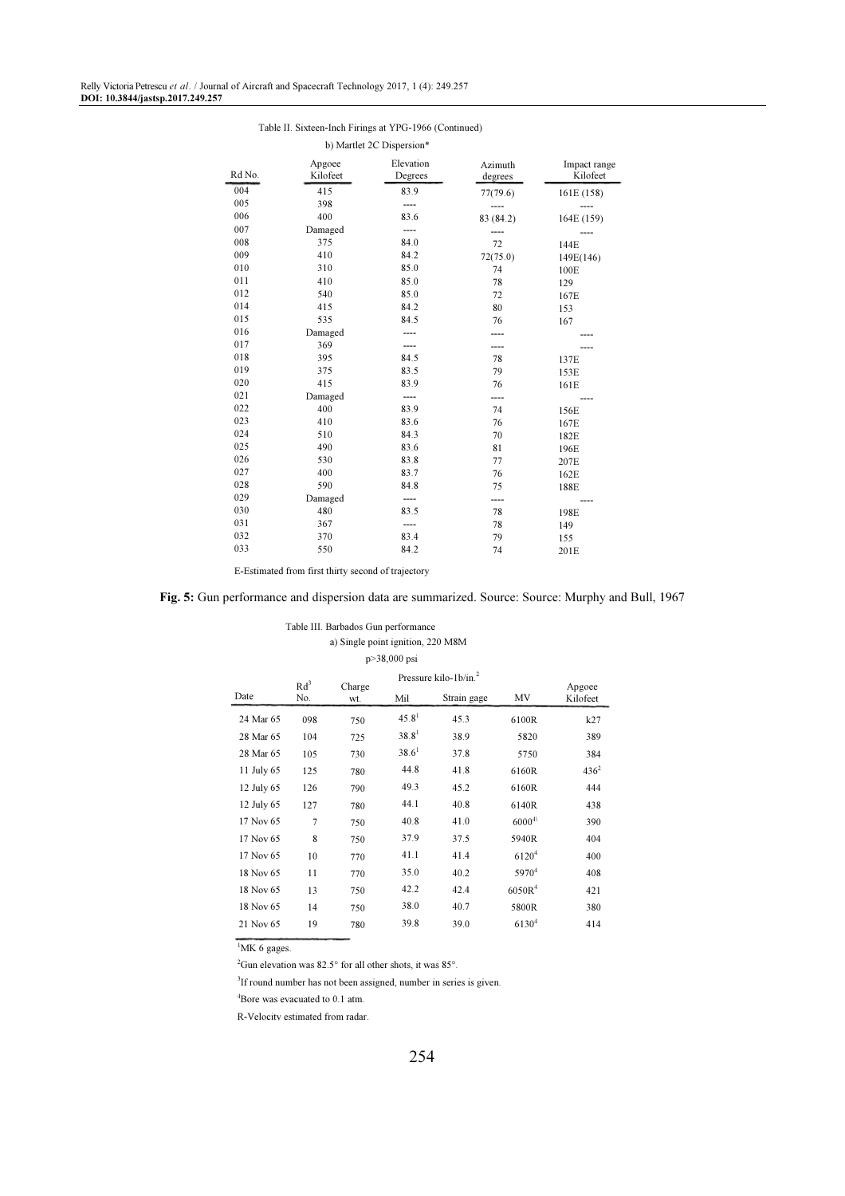#### Table II. Sixteen-Inch Firings at YPG-1966 (Continued)

b) Martlet 2C Dispersion\*

| Rd No. | Apgoee<br>Kilofeet | Elevation<br>Degrees | Azimuth<br>degrees | Impact range<br>Kilofeet |
|--------|--------------------|----------------------|--------------------|--------------------------|
| 004    | 415                | 83.9                 | 77(79.6)           | 161E (158)               |
| 005    | 398                | ----                 |                    |                          |
| 006    | 400                | 83.6                 | 83 (84.2)          | 164E (159)               |
| 007    | Damaged            |                      |                    |                          |
| 008    | 375                | 84.0                 | 72                 | 144E                     |
| 009    | 410                | 84.2                 | 72(75.0)           | 149E(146)                |
| 010    | 310                | 85.0                 | 74                 | 100E                     |
| 011    | 410                | 85.0                 | 78                 | 129                      |
| 012    | 540                | 85.0                 | 72                 | 167E                     |
| 014    | 415                | 84.2                 | 80                 | 153                      |
| 015    | 535                | 84.5                 | 76                 | 167                      |
| 016    | Damaged            |                      |                    |                          |
| 017    | 369                |                      | ----               |                          |
| 018    | 395                | 84.5                 | 78                 | 137E                     |
| 019    | 375                | 83.5                 | 79                 | 153E                     |
| 020    | 415                | 83.9                 | 76                 | 161E                     |
| 021    | Damaged            |                      | ----               |                          |
| 022    | 400                | 83.9                 | 74                 | 156E                     |
| 023    | 410                | 83.6                 | 76                 | 167E                     |
| 024    | 510                | 84.3                 | 70                 | 182E                     |
| 025    | 490                | 83.6                 | 81                 | 196E                     |
| 026    | 530                | 83.8                 | 77                 | 207E                     |
| 027    | 400                | 83.7                 | 76                 | 162E                     |
| 028    | 590                | 84.8                 | 75                 | 188E                     |
| 029    | Damaged            | ----                 | ----               |                          |
| 030    | 480                | 83.5                 | 78                 | 198E                     |
| 031    | 367                |                      | 78                 | 149                      |
| 032    | 370                | 83.4                 | 79                 | 155                      |
| 033    | 550                | 84.2                 | 74                 | 201E                     |

E-Estimated from first thirty second of trajectory

Fig. 5: Gun performance and dispersion data are summarized. Source: Source: Murphy and Bull, 1967

## Table III. Barbados Gun performance a) Single point ignition, 220 M8M

| $p > 38,000$ psi |                        |               |                   |             |                   |                    |
|------------------|------------------------|---------------|-------------------|-------------|-------------------|--------------------|
|                  |                        |               |                   |             |                   |                    |
| Date             | Rd <sup>3</sup><br>No. | Charge<br>wt. | Mil               | Strain gage | MV                | Apgoee<br>Kilofeet |
| 24 Mar 65        | 098                    | 750           | 45.8 <sup>1</sup> | 45.3        | 6100R             | k27                |
| 28 Mar 65        | 104                    | 725           | 38.8 <sup>1</sup> | 38.9        | 5820              | 389                |
| 28 Mar 65        | 105                    | 730           | $38.6^1$          | 37.8        | 5750              | 384                |
| 11 July 65       | 125                    | 780           | 44.8              | 41.8        | 6160R             | $436^2$            |
| 12 July 65       | 126                    | 790           | 49.3              | 45.2        | 6160R             | 444                |
| 12 July 65       | 127                    | 780           | 44.1              | 40.8        | 6140R             | 438                |
| 17 Nov 65        | $\overline{7}$         | 750           | 40.8              | 41.0        | $6000^{4}$        | 390                |
| 17 Nov 65        | 8                      | 750           | 37.9              | 37.5        | 5940R             | 404                |
| 17 Nov 65        | 10                     | 770           | 41.1              | 41.4        | $6120^{4}$        | 400                |
| 18 Nov 65        | 11                     | 770           | 35.0              | 40.2        | 5970 <sup>4</sup> | 408                |
| 18 Nov 65        | 13                     | 750           | 42.2              | 42.4        | $6050R^4$         | 421                |
| 18 Nov 65        | 14                     | 750           | 38.0              | 40.7        | 5800R             | 380                |
| 21 Nov 65        | 19                     | 780           | 39.8              | 39.0        | $6130^{4}$        | 414                |

 $\frac{1}{1}$ MK 6 gages.

<sup>2</sup>Gun elevation was 82.5° for all other shots, it was 85°.

3 If round number has not been assigned, number in series is given.

<sup>4</sup>Bore was evacuated to 0.1 atm.

R-Velocity estimated from radar.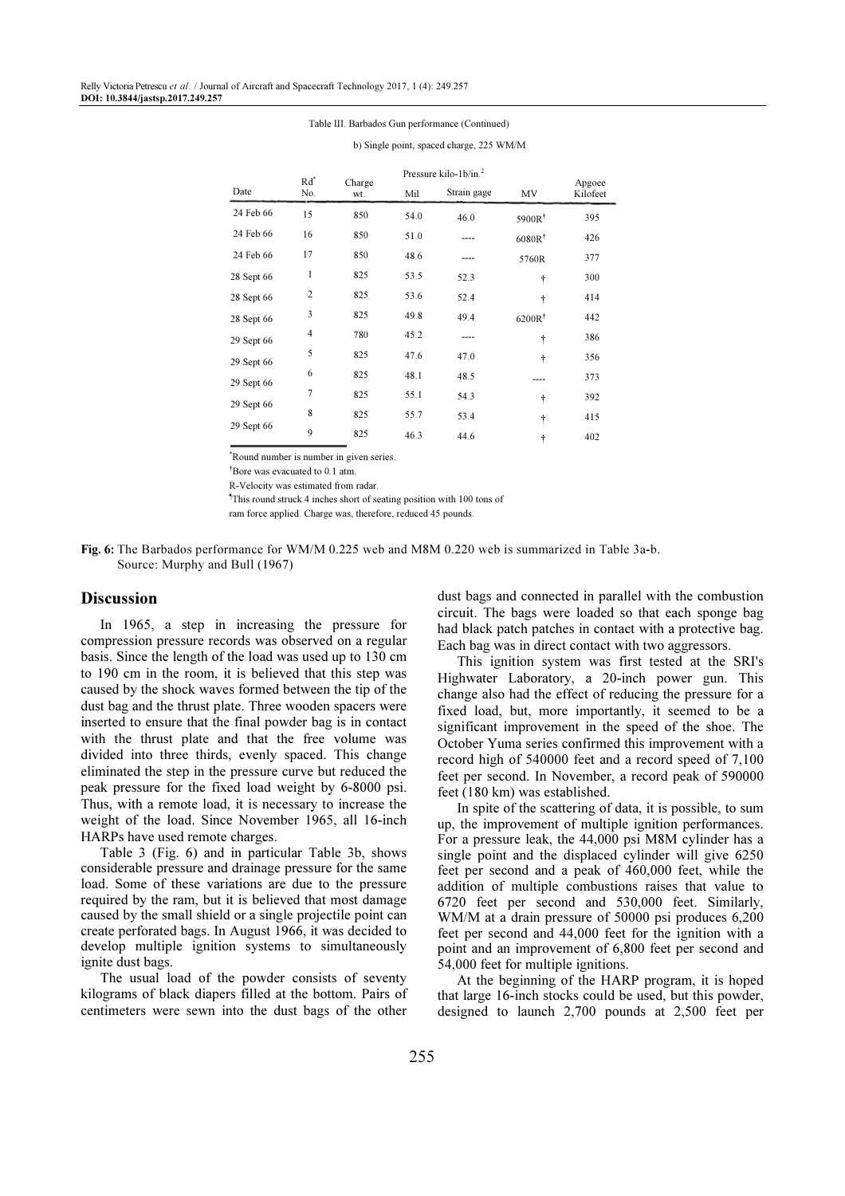#### Table III. Barbados Gun performance (Continued)

|            | $Rd^*$         | Charge<br>wt. |      | Pressure kilo-1 $b/in.2$ |                    | Apgoee<br>Kilofeet |
|------------|----------------|---------------|------|--------------------------|--------------------|--------------------|
| Date       | No.            |               | Mil  | Strain gage              | MV                 |                    |
| 24 Feb 66  | 15             | 850           | 54.0 | 46.0                     | 5900R <sup>†</sup> | 395                |
| 24 Feb 66  | 16             | 850           | 51.0 |                          | 6080R <sup>†</sup> | 426                |
| 24 Feb 66  | 17             | 850           | 48.6 | ----                     | 5760R              | 377                |
| 28 Sept 66 | 1              | 825           | 53.5 | 52.3                     | ÷                  | 300                |
| 28 Sept 66 | $\overline{c}$ | 825           | 53.6 | 52.4                     | ÷                  | 414                |
| 28 Sept 66 | 3              | 825           | 49.8 | 49.4                     | $6200R^{\dagger}$  | 442                |
| 29 Sept 66 | 4              | 780           | 45.2 | ----                     | ÷                  | 386                |
| 29 Sept 66 | 5              | 825           | 47.6 | 47.0                     | ÷                  | 356                |
| 29 Sept 66 | 6              | 825           | 48.1 | 48.5                     |                    | 373                |
|            | $\overline{7}$ | 825           | 55.1 | 54.3                     | ÷                  | 392                |
| 29 Sept 66 | 8              | 825           | 55.7 | 53.4                     | ÷                  | 415                |
| 29 Sept 66 | 9              | 825           | 46.3 | 44.6                     | ÷                  | 402                |

b) Single point, spaced charge, 225 WM/M

\*Round number is number in given series.

†Bore was evacuated to 0.1 atm.

R-Velocity was estimated from radar.

¶This round struck 4 inches short of seating position with 100 tons of

ram force applied. Charge was, therefore, reduced 45 pounds.

Fig. 6: The Barbados performance for WM/M 0.225 web and M8M 0.220 web is summarized in Table 3a-b. Source: Murphy and Bull (1967)

## Discussion

In 1965, a step in increasing the pressure for compression pressure records was observed on a regular basis. Since the length of the load was used up to 130 cm to 190 cm in the room, it is believed that this step was caused by the shock waves formed between the tip of the dust bag and the thrust plate. Three wooden spacers were inserted to ensure that the final powder bag is in contact with the thrust plate and that the free volume was divided into three thirds, evenly spaced. This change eliminated the step in the pressure curve but reduced the peak pressure for the fixed load weight by 6-8000 psi. Thus, with a remote load, it is necessary to increase the weight of the load. Since November 1965, all 16-inch HARPs have used remote charges.

Table 3 (Fig. 6) and in particular Table 3b, shows considerable pressure and drainage pressure for the same load. Some of these variations are due to the pressure required by the ram, but it is believed that most damage caused by the small shield or a single projectile point can create perforated bags. In August 1966, it was decided to develop multiple ignition systems to simultaneously ignite dust bags.

The usual load of the powder consists of seventy kilograms of black diapers filled at the bottom. Pairs of centimeters were sewn into the dust bags of the other

dust bags and connected in parallel with the combustion circuit. The bags were loaded so that each sponge bag had black patch patches in contact with a protective bag. Each bag was in direct contact with two aggressors.

This ignition system was first tested at the SRI's Highwater Laboratory, a 20-inch power gun. This change also had the effect of reducing the pressure for a fixed load, but, more importantly, it seemed to be a significant improvement in the speed of the shoe. The October Yuma series confirmed this improvement with a record high of 540000 feet and a record speed of 7,100 feet per second. In November, a record peak of 590000 feet (180 km) was established.

In spite of the scattering of data, it is possible, to sum up, the improvement of multiple ignition performances. For a pressure leak, the 44,000 psi M8M cylinder has a single point and the displaced cylinder will give 6250 feet per second and a peak of 460,000 feet, while the addition of multiple combustions raises that value to 6720 feet per second and 530,000 feet. Similarly, WM/M at a drain pressure of 50000 psi produces 6,200 feet per second and 44,000 feet for the ignition with a point and an improvement of 6,800 feet per second and 54,000 feet for multiple ignitions.

At the beginning of the HARP program, it is hoped that large 16-inch stocks could be used, but this powder, designed to launch 2,700 pounds at 2,500 feet per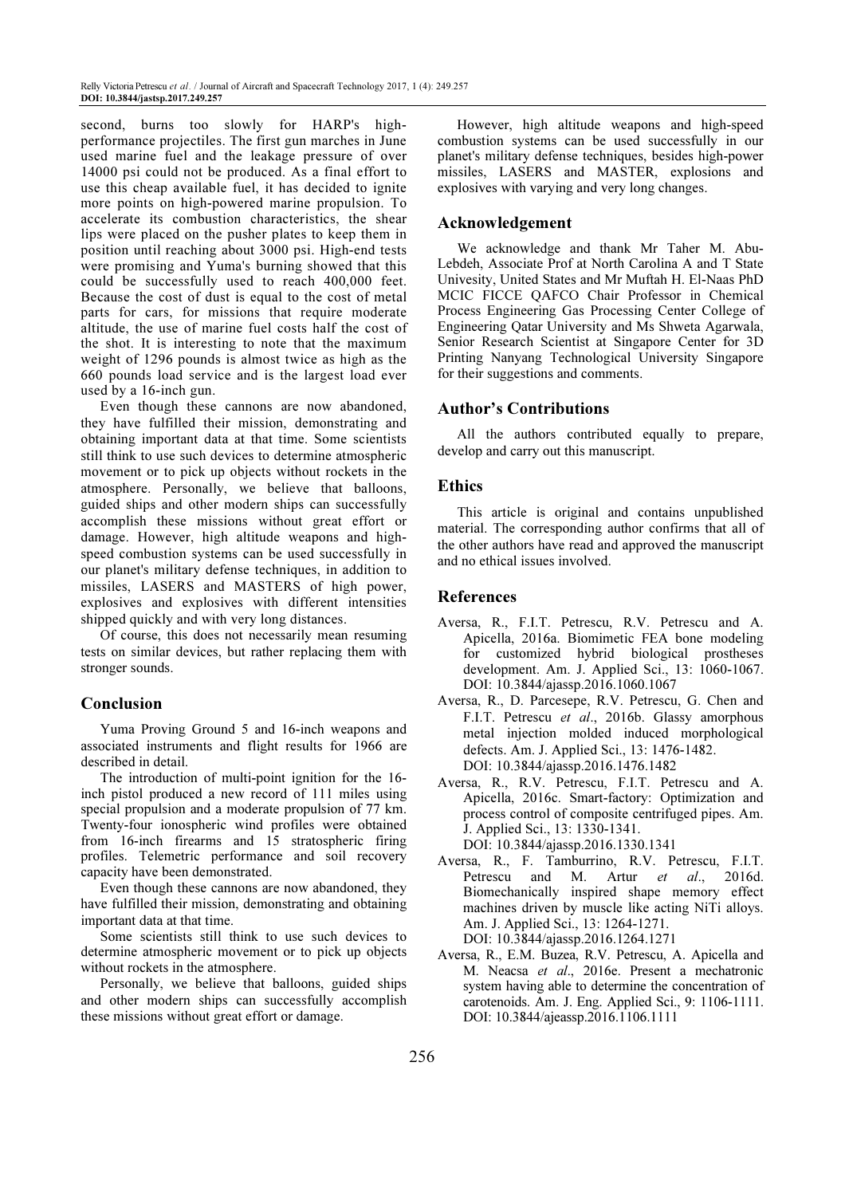second, burns too slowly for HARP's highperformance projectiles. The first gun marches in June used marine fuel and the leakage pressure of over 14000 psi could not be produced. As a final effort to use this cheap available fuel, it has decided to ignite more points on high-powered marine propulsion. To accelerate its combustion characteristics, the shear lips were placed on the pusher plates to keep them in position until reaching about 3000 psi. High-end tests were promising and Yuma's burning showed that this could be successfully used to reach 400,000 feet. Because the cost of dust is equal to the cost of metal parts for cars, for missions that require moderate altitude, the use of marine fuel costs half the cost of the shot. It is interesting to note that the maximum weight of 1296 pounds is almost twice as high as the 660 pounds load service and is the largest load ever used by a 16-inch gun.

Even though these cannons are now abandoned, they have fulfilled their mission, demonstrating and obtaining important data at that time. Some scientists still think to use such devices to determine atmospheric movement or to pick up objects without rockets in the atmosphere. Personally, we believe that balloons, guided ships and other modern ships can successfully accomplish these missions without great effort or damage. However, high altitude weapons and highspeed combustion systems can be used successfully in our planet's military defense techniques, in addition to missiles, LASERS and MASTERS of high power, explosives and explosives with different intensities shipped quickly and with very long distances.

Of course, this does not necessarily mean resuming tests on similar devices, but rather replacing them with stronger sounds.

## Conclusion

Yuma Proving Ground 5 and 16-inch weapons and associated instruments and flight results for 1966 are described in detail.

The introduction of multi-point ignition for the 16 inch pistol produced a new record of 111 miles using special propulsion and a moderate propulsion of 77 km. Twenty-four ionospheric wind profiles were obtained from 16-inch firearms and 15 stratospheric firing profiles. Telemetric performance and soil recovery capacity have been demonstrated.

Even though these cannons are now abandoned, they have fulfilled their mission, demonstrating and obtaining important data at that time.

Some scientists still think to use such devices to determine atmospheric movement or to pick up objects without rockets in the atmosphere.

Personally, we believe that balloons, guided ships and other modern ships can successfully accomplish these missions without great effort or damage.

However, high altitude weapons and high-speed combustion systems can be used successfully in our planet's military defense techniques, besides high-power missiles, LASERS and MASTER, explosions and explosives with varying and very long changes.

## Acknowledgement

We acknowledge and thank Mr Taher M. Abu-Lebdeh, Associate Prof at North Carolina A and T State Univesity, United States and Mr Muftah H. El-Naas PhD MCIC FICCE QAFCO Chair Professor in Chemical Process Engineering Gas Processing Center College of Engineering Qatar University and Ms Shweta Agarwala, Senior Research Scientist at Singapore Center for 3D Printing Nanyang Technological University Singapore for their suggestions and comments.

## Author's Contributions

All the authors contributed equally to prepare, develop and carry out this manuscript.

## Ethics

This article is original and contains unpublished material. The corresponding author confirms that all of the other authors have read and approved the manuscript and no ethical issues involved.

## References

- Aversa, R., F.I.T. Petrescu, R.V. Petrescu and A. Apicella, 2016a. Biomimetic FEA bone modeling for customized hybrid biological prostheses development. Am. J. Applied Sci., 13: 1060-1067. DOI: 10.3844/ajassp.2016.1060.1067
- Aversa, R., D. Parcesepe, R.V. Petrescu, G. Chen and F.I.T. Petrescu et al., 2016b. Glassy amorphous metal injection molded induced morphological defects. Am. J. Applied Sci., 13: 1476-1482. DOI: 10.3844/ajassp.2016.1476.1482
- Aversa, R., R.V. Petrescu, F.I.T. Petrescu and A. Apicella, 2016c. Smart-factory: Optimization and process control of composite centrifuged pipes. Am. J. Applied Sci., 13: 1330-1341. DOI: 10.3844/ajassp.2016.1330.1341
- Aversa, R., F. Tamburrino, R.V. Petrescu, F.I.T. Petrescu and M. Artur et al., 2016d. Biomechanically inspired shape memory effect machines driven by muscle like acting NiTi alloys. Am. J. Applied Sci., 13: 1264-1271. DOI: 10.3844/ajassp.2016.1264.1271
- Aversa, R., E.M. Buzea, R.V. Petrescu, A. Apicella and M. Neacsa et al., 2016e. Present a mechatronic system having able to determine the concentration of carotenoids. Am. J. Eng. Applied Sci., 9: 1106-1111. DOI: 10.3844/ajeassp.2016.1106.1111